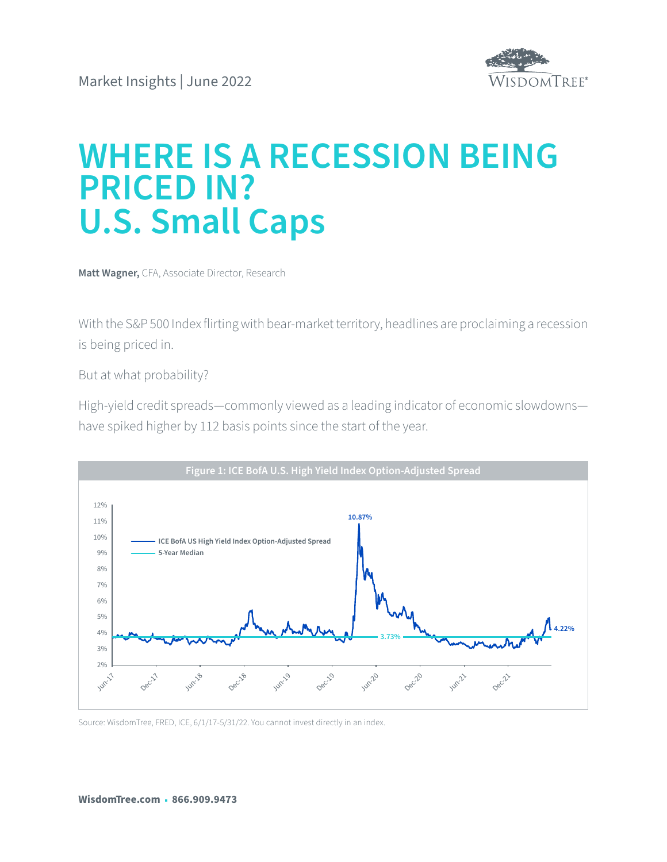

# **WHERE IS A RECESSION BEING PRICED IN? U.S. Small Caps**

**Matt Wagner,** CFA, Associate Director, Research

With the S&P 500 Index flirting with bear-market territory, headlines are proclaiming a recession is being priced in.

But at what probability?

High-yield credit spreads—commonly viewed as a leading indicator of economic slowdowns have spiked higher by 112 basis points since the start of the year.



Source: WisdomTree, FRED, ICE, 6/1/17-5/31/22. You cannot invest directly in an index.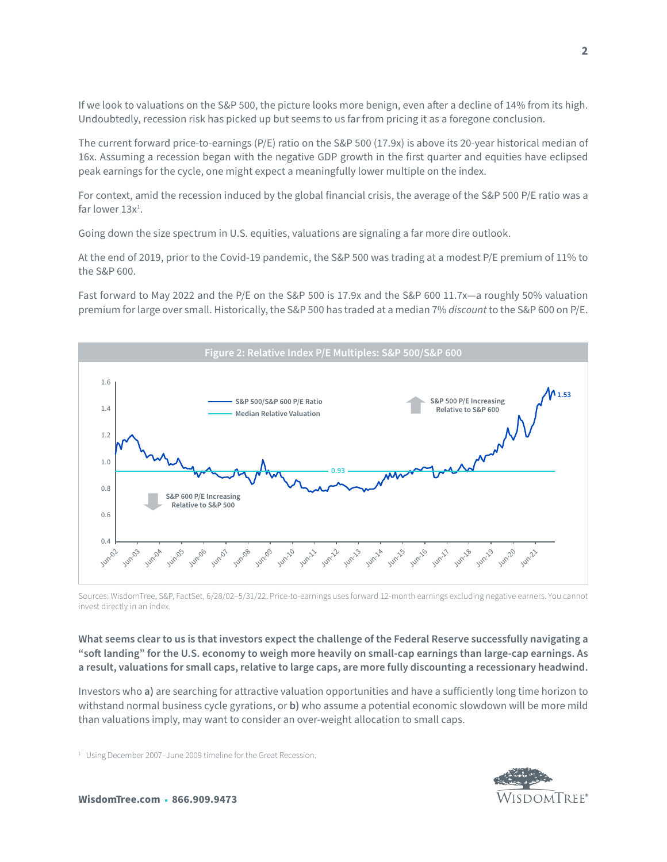If we look to valuations on the S&P 500, the picture looks more benign, even after a decline of 14% from its high. Undoubtedly, recession risk has picked up but seems to us far from pricing it as a foregone conclusion.

The current forward price-to-earnings (P/E) ratio on the S&P 500 (17.9x) is above its 20-year historical median of 16x. Assuming a recession began with the negative GDP growth in the first quarter and equities have eclipsed peak earnings for the cycle, one might expect a meaningfully lower multiple on the index.

For context, amid the recession induced by the global financial crisis, the average of the S&P 500 P/E ratio was a far lower  $13x^1$ .

Going down the size spectrum in U.S. equities, valuations are signaling a far more dire outlook.

At the end of 2019, prior to the Covid-19 pandemic, the S&P 500 was trading at a modest P/E premium of 11% to the S&P 600.

Fast forward to May 2022 and the P/E on the S&P 500 is 17.9x and the S&P 600 11.7x—a roughly 50% valuation premium for large over small. Historically, the S&P 500 has traded at a median 7% *discount* to the S&P 600 on P/E.



Sources: WisdomTree, S&P, FactSet, 6/28/02–5/31/22. Price-to-earnings uses forward 12-month earnings excluding negative earners. You cannot invest directly in an index.

**What seems clear to us is that investors expect the challenge of the Federal Reserve successfully navigating a "soft landing" for the U.S. economy to weigh more heavily on small-cap earnings than large-cap earnings. As a result, valuations for small caps, relative to large caps, are more fully discounting a recessionary headwind.** 

Investors who **a)** are searching for attractive valuation opportunities and have a sufficiently long time horizon to withstand normal business cycle gyrations, or **b)** who assume a potential economic slowdown will be more mild than valuations imply, may want to consider an over-weight allocation to small caps.

<sup>1</sup> Using December 2007-June 2009 timeline for the Great Recession.

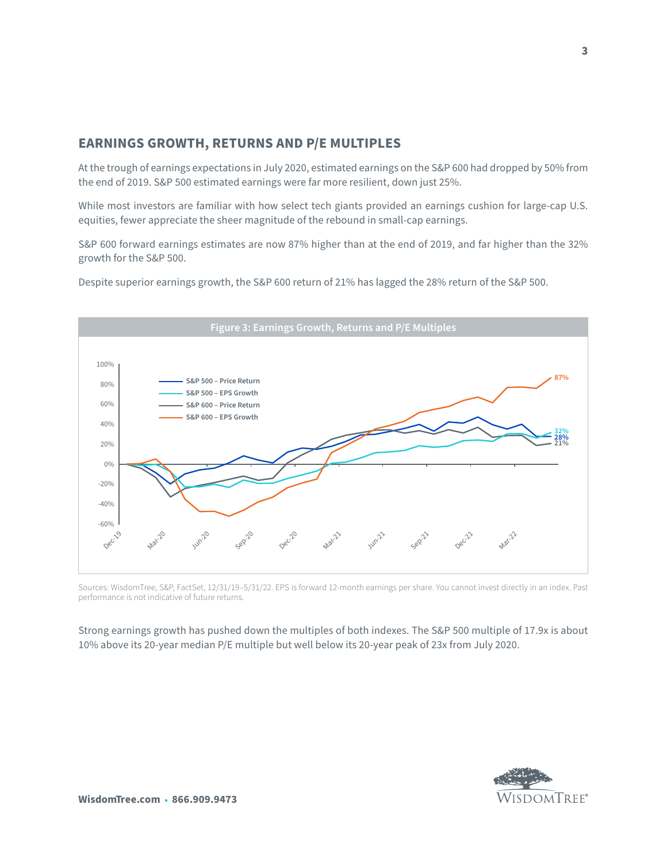# **EARNINGS GROWTH, RETURNS AND P/E MULTIPLES**

At the trough of earnings expectations in July 2020, estimated earnings on the S&P 600 had dropped by 50% from the end of 2019. S&P 500 estimated earnings were far more resilient, down just 25%.

While most investors are familiar with how select tech giants provided an earnings cushion for large-cap U.S. equities, fewer appreciate the sheer magnitude of the rebound in small-cap earnings.

S&P 600 forward earnings estimates are now 87% higher than at the end of 2019, and far higher than the 32% growth for the S&P 500.

Despite superior earnings growth, the S&P 600 return of 21% has lagged the 28% return of the S&P 500.



Sources: WisdomTree, S&P, FactSet, 12/31/19–5/31/22. EPS is forward 12-month earnings per share. You cannot invest directly in an index. Past performance is not indicative of future returns.

Strong earnings growth has pushed down the multiples of both indexes. The S&P 500 multiple of 17.9x is about 10% above its 20-year median P/E multiple but well below its 20-year peak of 23x from July 2020.



**3**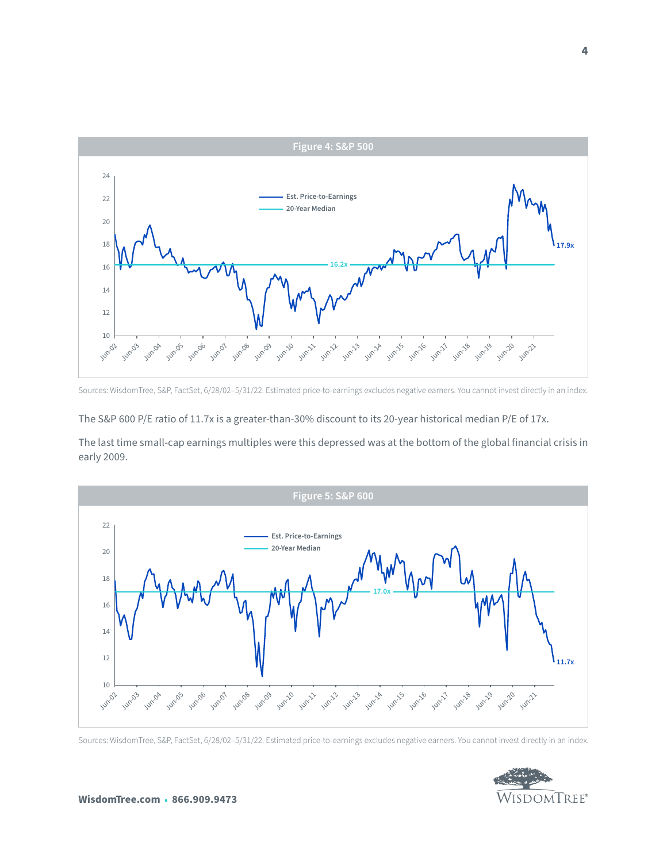

Sources: WisdomTree, S&P, FactSet, 6/28/02–5/31/22. Estimated price-to-earnings excludes negative earners. You cannot invest directly in an index.

The S&P 600 P/E ratio of 11.7x is a greater-than-30% discount to its 20-year historical median P/E of 17x.

The last time small-cap earnings multiples were this depressed was at the bottom of the global financial crisis in early 2009.



Sources: WisdomTree, S&P, FactSet, 6/28/02–5/31/22. Estimated price-to-earnings excludes negative earners. You cannot invest directly in an index.

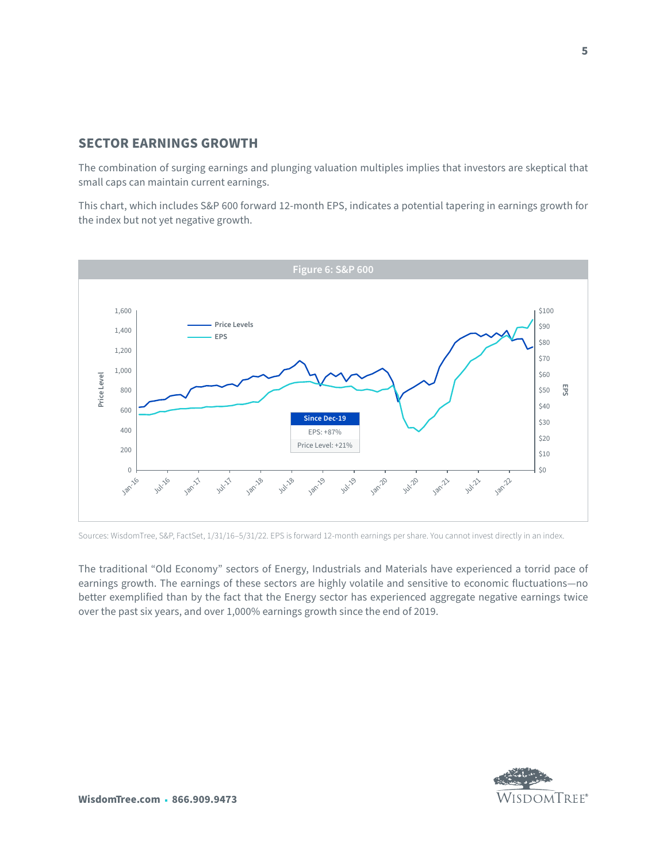#### **SECTOR EARNINGS GROWTH**

The combination of surging earnings and plunging valuation multiples implies that investors are skeptical that small caps can maintain current earnings.

This chart, which includes S&P 600 forward 12-month EPS, indicates a potential tapering in earnings growth for the index but not yet negative growth.



Sources: WisdomTree, S&P, FactSet, 1/31/16–5/31/22. EPS is forward 12-month earnings per share. You cannot invest directly in an index.

The traditional "Old Economy" sectors of Energy, Industrials and Materials have experienced a torrid pace of earnings growth. The earnings of these sectors are highly volatile and sensitive to economic fluctuations—no better exemplified than by the fact that the Energy sector has experienced aggregate negative earnings twice over the past six years, and over 1,000% earnings growth since the end of 2019.

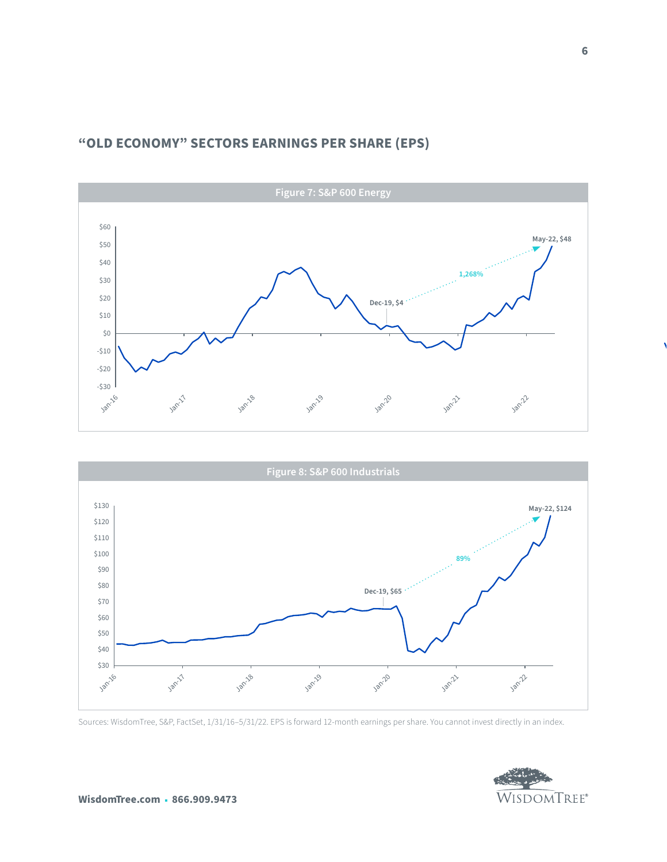# **"OLD ECONOMY" SECTORS EARNINGS PER SHARE (EPS)**





Sources: WisdomTree, S&P, FactSet, 1/31/16–5/31/22. EPS is forward 12-month earnings per share. You cannot invest directly in an index.

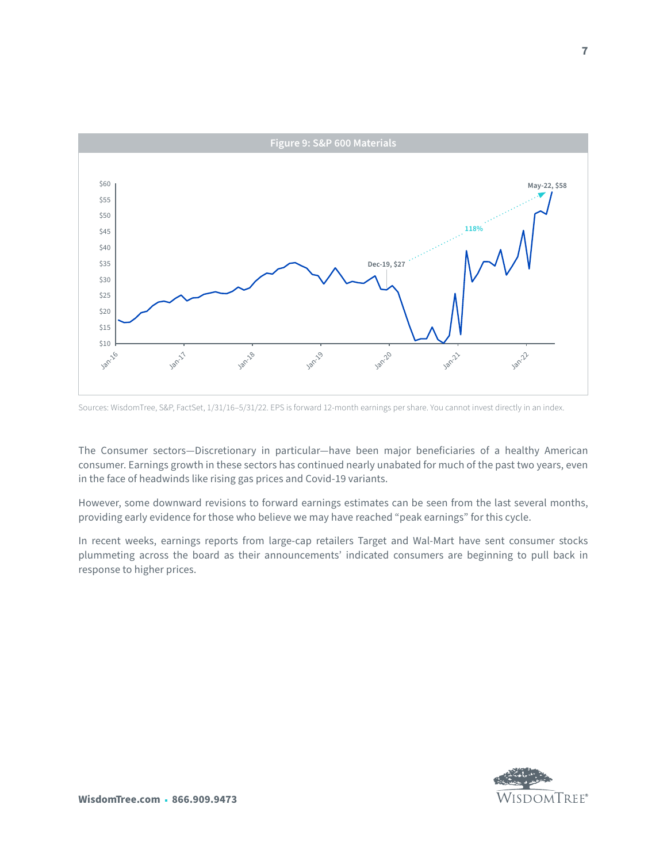

Sources: WisdomTree, S&P, FactSet, 1/31/16–5/31/22. EPS is forward 12-month earnings per share. You cannot invest directly in an index.

The Consumer sectors—Discretionary in particular—have been major beneficiaries of a healthy American consumer. Earnings growth in these sectors has continued nearly unabated for much of the past two years, even in the face of headwinds like rising gas prices and Covid-19 variants.

However, some downward revisions to forward earnings estimates can be seen from the last several months, providing early evidence for those who believe we may have reached "peak earnings" for this cycle.

In recent weeks, earnings reports from large-cap retailers Target and Wal-Mart have sent consumer stocks plummeting across the board as their announcements' indicated consumers are beginning to pull back in response to higher prices.

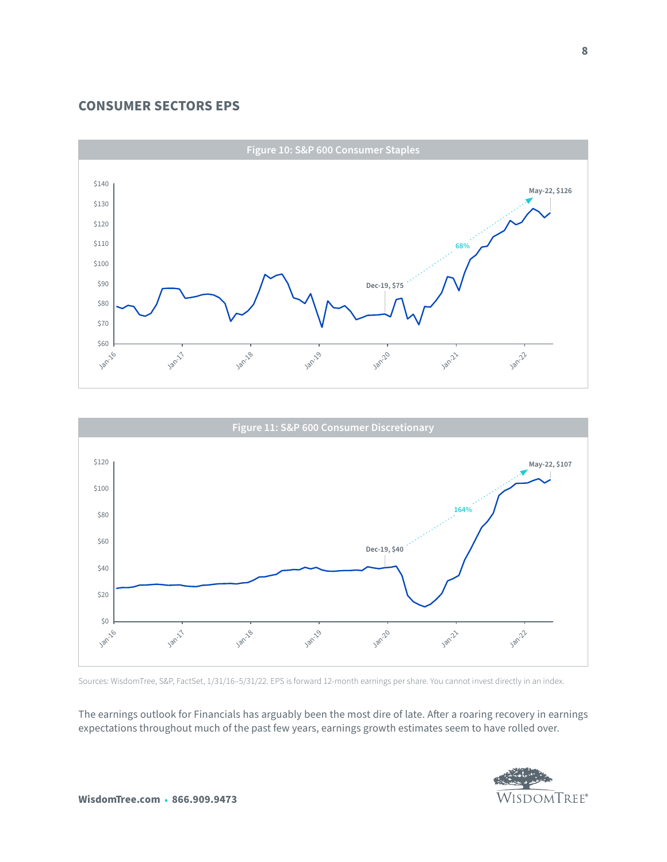#### **CONSUMER SECTORS EPS**





Sources: WisdomTree, S&P, FactSet, 1/31/16–5/31/22. EPS is forward 12-month earnings per share. You cannot invest directly in an index.

The earnings outlook for Financials has arguably been the most dire of late. After a roaring recovery in earnings expectations throughout much of the past few years, earnings growth estimates seem to have rolled over.

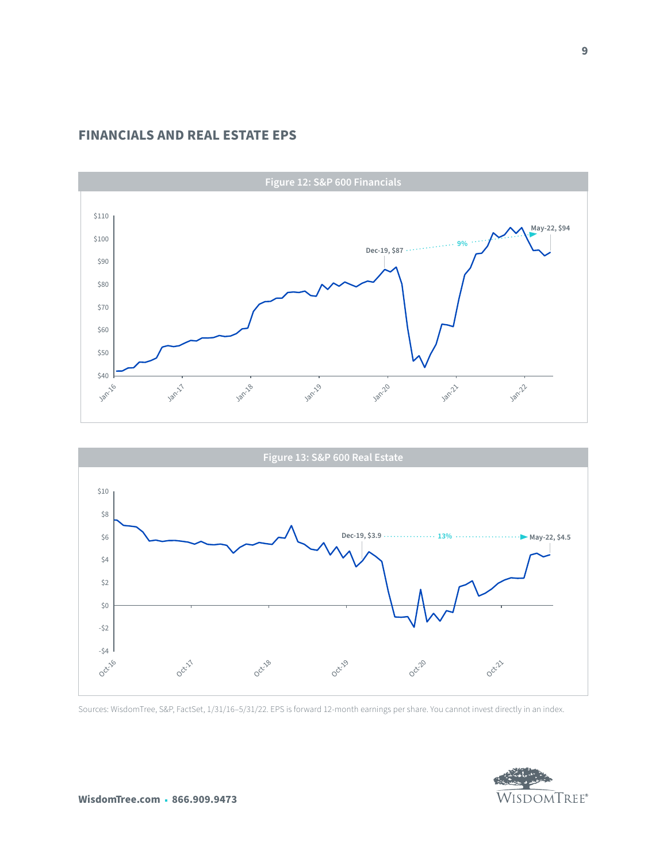### **FINANCIALS AND REAL ESTATE EPS**





Sources: WisdomTree, S&P, FactSet, 1/31/16–5/31/22. EPS is forward 12-month earnings per share. You cannot invest directly in an index.

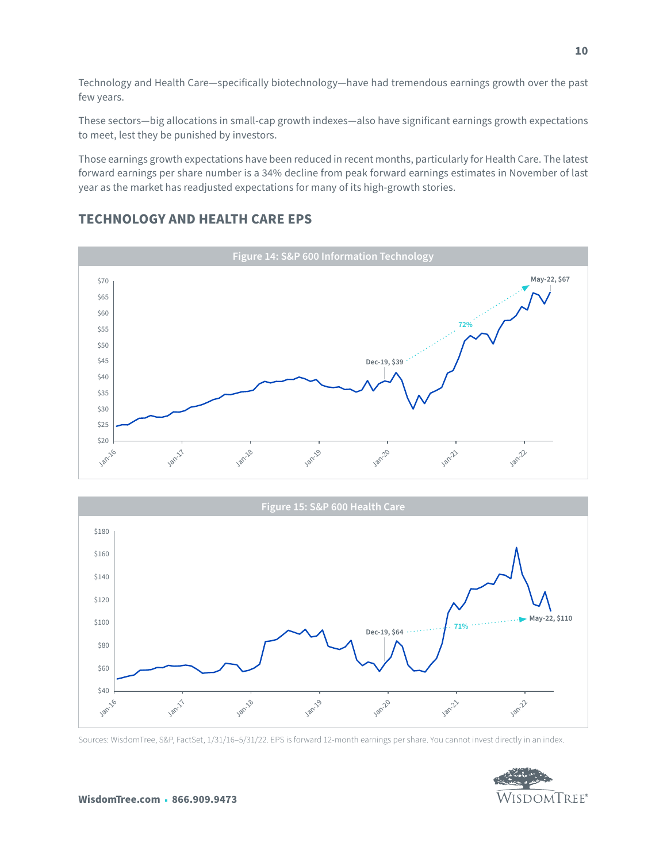Technology and Health Care—specifically biotechnology—have had tremendous earnings growth over the past few years.

These sectors—big allocations in small-cap growth indexes—also have significant earnings growth expectations to meet, lest they be punished by investors.

Those earnings growth expectations have been reduced in recent months, particularly for Health Care. The latest forward earnings per share number is a 34% decline from peak forward earnings estimates in November of last year as the market has readjusted expectations for many of its high-growth stories.

### **TECHNOLOGY AND HEALTH CARE EPS**





Sources: WisdomTree, S&P, FactSet, 1/31/16–5/31/22. EPS is forward 12-month earnings per share. You cannot invest directly in an index.

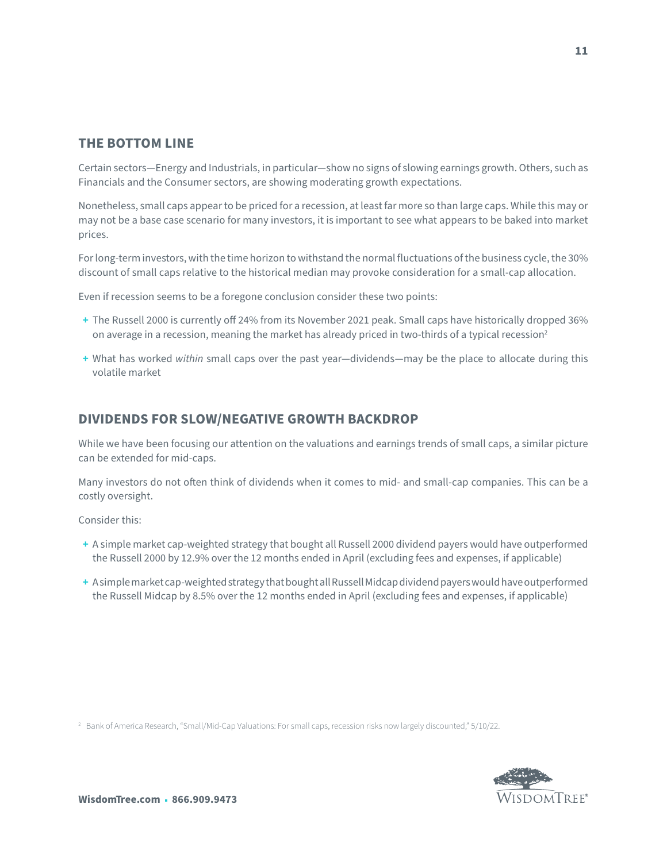#### **THE BOTTOM LINE**

Certain sectors—Energy and Industrials, in particular—show no signs of slowing earnings growth. Others, such as Financials and the Consumer sectors, are showing moderating growth expectations.

Nonetheless, small caps appear to be priced for a recession, at least far more so than large caps. While this may or may not be a base case scenario for many investors, it is important to see what appears to be baked into market prices.

For long-term investors, with the time horizon to withstand the normal fluctuations of the business cycle, the 30% discount of small caps relative to the historical median may provoke consideration for a small-cap allocation.

Even if recession seems to be a foregone conclusion consider these two points:

- **+** The Russell 2000 is currently off 24% from its November 2021 peak. Small caps have historically dropped 36% on average in a recession, meaning the market has already priced in two-thirds of a typical recession<sup>2</sup>
- **+** What has worked *within* small caps over the past year—dividends—may be the place to allocate during this volatile market

#### **DIVIDENDS FOR SLOW/NEGATIVE GROWTH BACKDROP**

While we have been focusing our attention on the valuations and earnings trends of small caps, a similar picture can be extended for mid-caps.

Many investors do not often think of dividends when it comes to mid- and small-cap companies. This can be a costly oversight.

Consider this:

- **+** A simple market cap-weighted strategy that bought all Russell 2000 dividend payers would have outperformed the Russell 2000 by 12.9% over the 12 months ended in April (excluding fees and expenses, if applicable)
- **+** A simple market cap-weighted strategy that bought all Russell Midcap dividend payers would have outperformed the Russell Midcap by 8.5% over the 12 months ended in April (excluding fees and expenses, if applicable)

<sup>2</sup> Bank of America Research, "Small/Mid-Cap Valuations: For small caps, recession risks now largely discounted," 5/10/22.

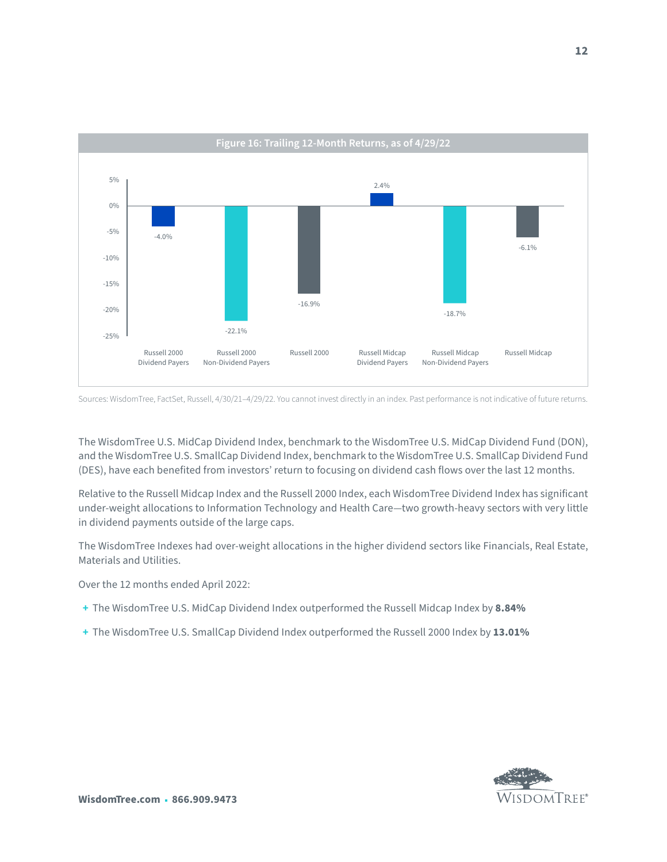

Sources: WisdomTree, FactSet, Russell, 4/30/21–4/29/22. You cannot invest directly in an index. Past performance is not indicative of future returns.

The WisdomTree U.S. MidCap Dividend Index, benchmark to the WisdomTree U.S. MidCap Dividend Fund (DON), and the WisdomTree U.S. SmallCap Dividend Index, benchmark to the WisdomTree U.S. SmallCap Dividend Fund (DES), have each benefited from investors' return to focusing on dividend cash flows over the last 12 months.

Relative to the Russell Midcap Index and the Russell 2000 Index, each WisdomTree Dividend Index has significant under-weight allocations to Information Technology and Health Care—two growth-heavy sectors with very little in dividend payments outside of the large caps.

The WisdomTree Indexes had over-weight allocations in the higher dividend sectors like Financials, Real Estate, Materials and Utilities.

Over the 12 months ended April 2022:

- **+** The WisdomTree U.S. MidCap Dividend Index outperformed the Russell Midcap Index by **8.84%**
- **+** The WisdomTree U.S. SmallCap Dividend Index outperformed the Russell 2000 Index by **13.01%**

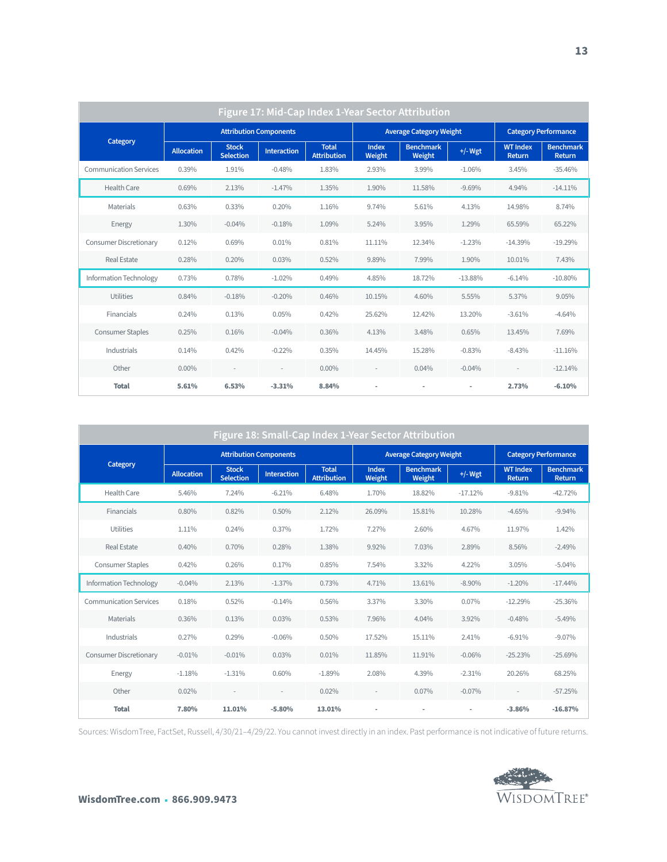| Figure 17: Mid-Cap Index 1-Year Sector Attribution |                               |                                  |                          |                                    |                                |                            |           |                                  |                            |  |  |
|----------------------------------------------------|-------------------------------|----------------------------------|--------------------------|------------------------------------|--------------------------------|----------------------------|-----------|----------------------------------|----------------------------|--|--|
| Category                                           | <b>Attribution Components</b> |                                  |                          |                                    | <b>Average Category Weight</b> |                            |           | <b>Category Performance</b>      |                            |  |  |
|                                                    | <b>Allocation</b>             | <b>Stock</b><br><b>Selection</b> | <b>Interaction</b>       | <b>Total</b><br><b>Attribution</b> | <b>Index</b><br>Weight         | <b>Benchmark</b><br>Weight | $+/-$ Wgt | <b>WT Index</b><br><b>Return</b> | <b>Benchmark</b><br>Return |  |  |
| <b>Communication Services</b>                      | 0.39%                         | 1.91%                            | $-0.48%$                 | 1.83%                              | 2.93%                          | 3.99%                      | $-1.06%$  | 3.45%                            | $-35.46%$                  |  |  |
| Health Care                                        | 0.69%                         | 2.13%                            | $-1.47%$                 | 1.35%                              | 1.90%                          | 11.58%                     | $-9.69%$  | 4.94%                            | $-14.11%$                  |  |  |
| Materials                                          | 0.63%                         | 0.33%                            | 0.20%                    | 1.16%                              | 9.74%                          | 5.61%                      | 4.13%     | 14.98%                           | 8.74%                      |  |  |
| Energy                                             | 1.30%                         | $-0.04%$                         | $-0.18%$                 | 1.09%                              | 5.24%                          | 3.95%                      | 1.29%     | 65.59%                           | 65.22%                     |  |  |
| Consumer Discretionary                             | 0.12%                         | 0.69%                            | 0.01%                    | 0.81%                              | 11.11%                         | 12.34%                     | $-1.23%$  | $-14.39%$                        | $-19.29%$                  |  |  |
| <b>Real Estate</b>                                 | 0.28%                         | 0.20%                            | 0.03%                    | 0.52%                              | 9.89%                          | 7.99%                      | 1.90%     | 10.01%                           | 7.43%                      |  |  |
| Information Technology                             | 0.73%                         | 0.78%                            | $-1.02%$                 | 0.49%                              | 4.85%                          | 18.72%                     | $-13.88%$ | $-6.14%$                         | $-10.80%$                  |  |  |
| Utilities                                          | 0.84%                         | $-0.18%$                         | $-0.20%$                 | 0.46%                              | 10.15%                         | 4.60%                      | 5.55%     | 5.37%                            | 9.05%                      |  |  |
| Financials                                         | 0.24%                         | 0.13%                            | 0.05%                    | 0.42%                              | 25.62%                         | 12.42%                     | 13.20%    | $-3.61%$                         | $-4.64%$                   |  |  |
| <b>Consumer Staples</b>                            | 0.25%                         | 0.16%                            | $-0.04%$                 | 0.36%                              | 4.13%                          | 3.48%                      | 0.65%     | 13.45%                           | 7.69%                      |  |  |
| Industrials                                        | 0.14%                         | 0.42%                            | $-0.22%$                 | 0.35%                              | 14.45%                         | 15.28%                     | $-0.83%$  | $-8.43%$                         | $-11.16%$                  |  |  |
| Other                                              | $0.00\%$                      | $\overline{a}$                   | $\overline{\phantom{a}}$ | $0.00\%$                           | $\overline{a}$                 | 0.04%                      | $-0.04%$  |                                  | $-12.14%$                  |  |  |
| <b>Total</b>                                       | 5.61%                         | 6.53%                            | $-3.31%$                 | 8.84%                              | ٠                              | ٠                          | ٠         | 2.73%                            | $-6.10%$                   |  |  |

| Figure 18: Small-Cap Index 1-Year Sector Attribution |                               |                                  |                    |                                    |                                |                            |                          |                             |                            |  |
|------------------------------------------------------|-------------------------------|----------------------------------|--------------------|------------------------------------|--------------------------------|----------------------------|--------------------------|-----------------------------|----------------------------|--|
| Category                                             | <b>Attribution Components</b> |                                  |                    |                                    | <b>Average Category Weight</b> |                            |                          | <b>Category Performance</b> |                            |  |
|                                                      | <b>Allocation</b>             | <b>Stock</b><br><b>Selection</b> | <b>Interaction</b> | <b>Total</b><br><b>Attribution</b> | <b>Index</b><br>Weight         | <b>Benchmark</b><br>Weight | $+/-$ Wgt                | <b>WT Index</b><br>Return   | <b>Benchmark</b><br>Return |  |
| <b>Health Care</b>                                   | 5.46%                         | 7.24%                            | $-6.21%$           | 6.48%                              | 1.70%                          | 18.82%                     | $-17.12%$                | $-9.81%$                    | $-42.72%$                  |  |
| Financials                                           | 0.80%                         | 0.82%                            | 0.50%              | 2.12%                              | 26.09%                         | 15.81%                     | 10.28%                   | $-4.65%$                    | $-9.94%$                   |  |
| Utilities                                            | 1.11%                         | 0.24%                            | 0.37%              | 1.72%                              | 7.27%                          | 2.60%                      | 4.67%                    | 11.97%                      | 1.42%                      |  |
| <b>Real Estate</b>                                   | 0.40%                         | 0.70%                            | 0.28%              | 1.38%                              | 9.92%                          | 7.03%                      | 2.89%                    | 8.56%                       | $-2.49%$                   |  |
| <b>Consumer Staples</b>                              | 0.42%                         | 0.26%                            | 0.17%              | 0.85%                              | 7.54%                          | 3.32%                      | 4.22%                    | 3.05%                       | $-5.04%$                   |  |
| <b>Information Technology</b>                        | $-0.04%$                      | 2.13%                            | $-1.37%$           | 0.73%                              | 4.71%                          | 13.61%                     | $-8.90\%$                | $-1.20%$                    | $-17.44%$                  |  |
| <b>Communication Services</b>                        | 0.18%                         | 0.52%                            | $-0.14%$           | 0.56%                              | 3.37%                          | 3.30%                      | $0.07\%$                 | $-12.29%$                   | $-25.36%$                  |  |
| <b>Materials</b>                                     | 0.36%                         | 0.13%                            | 0.03%              | 0.53%                              | 7.96%                          | 4.04%                      | 3.92%                    | $-0.48%$                    | $-5.49%$                   |  |
| Industrials                                          | 0.27%                         | 0.29%                            | $-0.06%$           | 0.50%                              | 17.52%                         | 15.11%                     | 2.41%                    | $-6.91%$                    | $-9.07\%$                  |  |
| Consumer Discretionary                               | $-0.01%$                      | $-0.01%$                         | 0.03%              | 0.01%                              | 11.85%                         | 11.91%                     | $-0.06%$                 | $-25.23%$                   | $-25.69%$                  |  |
| Energy                                               | $-1.18%$                      | $-1.31%$                         | 0.60%              | $-1.89%$                           | 2.08%                          | 4.39%                      | $-2.31%$                 | 20.26%                      | 68.25%                     |  |
| Other                                                | 0.02%                         | $\overline{a}$                   |                    | 0.02%                              | $\overline{\phantom{a}}$       | 0.07%                      | $-0.07%$                 | $\overline{\phantom{a}}$    | $-57.25%$                  |  |
| <b>Total</b>                                         | 7.80%                         | 11.01%                           | $-5.80%$           | 13.01%                             | ٠                              | ٠                          | $\overline{\phantom{a}}$ | $-3.86%$                    | $-16.87%$                  |  |

Sources: WisdomTree, FactSet, Russell, 4/30/21–4/29/22. You cannot invest directly in an index. Past performance is not indicative of future returns.

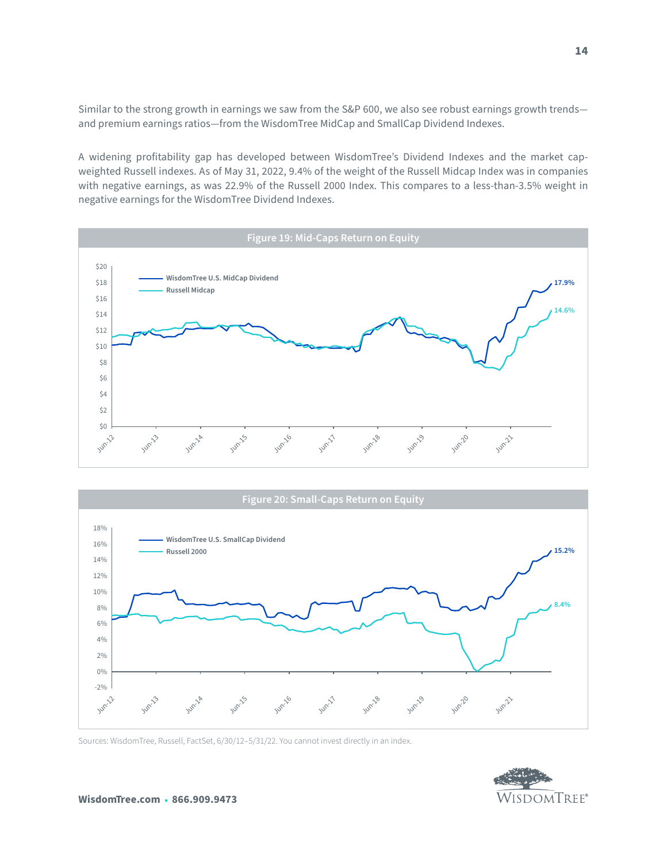Similar to the strong growth in earnings we saw from the S&P 600, we also see robust earnings growth trends and premium earnings ratios—from the WisdomTree MidCap and SmallCap Dividend Indexes.

A widening profitability gap has developed between WisdomTree's Dividend Indexes and the market capweighted Russell indexes. As of May 31, 2022, 9.4% of the weight of the Russell Midcap Index was in companies with negative earnings, as was 22.9% of the Russell 2000 Index. This compares to a less-than-3.5% weight in negative earnings for the WisdomTree Dividend Indexes.





Sources: WisdomTree, Russell, FactSet, 6/30/12–5/31/22. You cannot invest directly in an index.

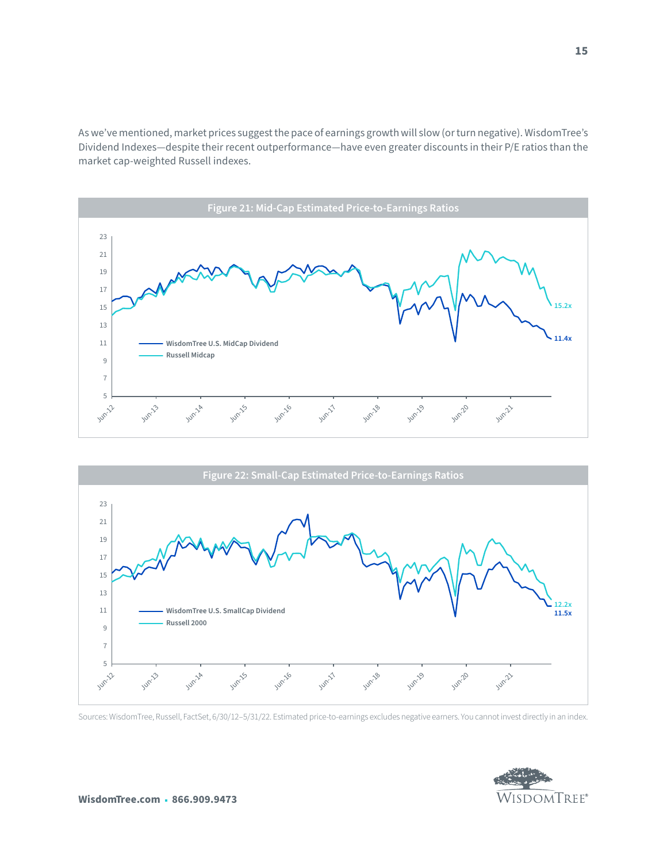As we've mentioned, market prices suggest the pace of earnings growth will slow (or turn negative). WisdomTree's Dividend Indexes—despite their recent outperformance—have even greater discounts in their P/E ratios than the market cap-weighted Russell indexes.





Sources: WisdomTree, Russell, FactSet, 6/30/12–5/31/22. Estimated price-to-earnings excludes negative earners. You cannot invest directly in an index.

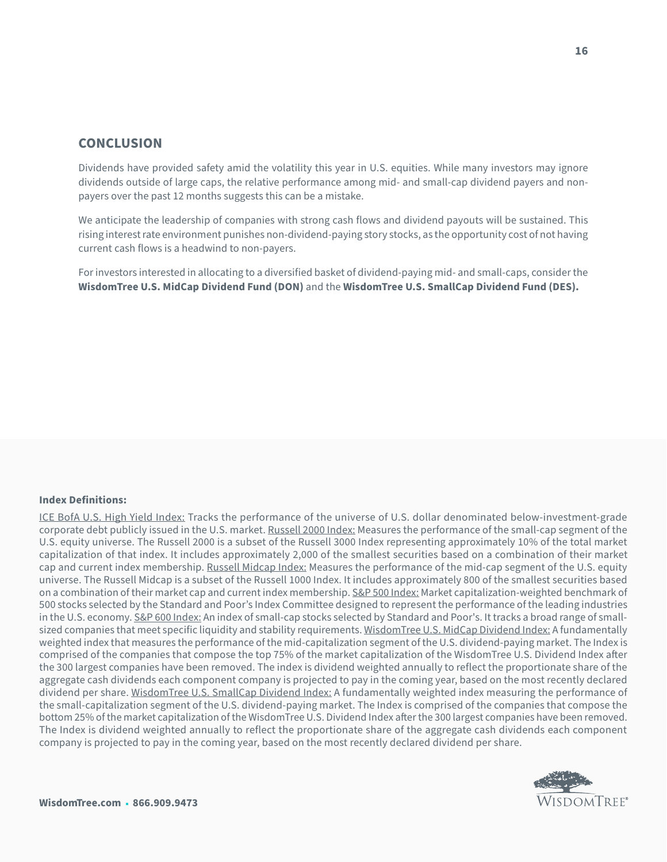#### **CONCLUSION**

Dividends have provided safety amid the volatility this year in U.S. equities. While many investors may ignore dividends outside of large caps, the relative performance among mid- and small-cap dividend payers and nonpayers over the past 12 months suggests this can be a mistake.

We anticipate the leadership of companies with strong cash flows and dividend payouts will be sustained. This rising interest rate environment punishes non-dividend-paying story stocks, as the opportunity cost of not having current cash flows is a headwind to non-payers.

For investors interested in allocating to a diversified basket of dividend-paying mid- and small-caps, consider the **WisdomTree U.S. MidCap Dividend Fund (DON)** and the **WisdomTree U.S. SmallCap Dividend Fund (DES).**

#### **Index Definitions:**

ICE BofA U.S. High Yield Index: Tracks the performance of the universe of U.S. dollar denominated below-investment-grade corporate debt publicly issued in the U.S. market. Russell 2000 Index: Measures the performance of the small-cap segment of the U.S. equity universe. The Russell 2000 is a subset of the Russell 3000 Index representing approximately 10% of the total market capitalization of that index. It includes approximately 2,000 of the smallest securities based on a combination of their market cap and current index membership. Russell Midcap Index: Measures the performance of the mid-cap segment of the U.S. equity universe. The Russell Midcap is a subset of the Russell 1000 Index. It includes approximately 800 of the smallest securities based on a combination of their market cap and current index membership. S&P 500 Index: Market capitalization-weighted benchmark of 500 stocks selected by the Standard and Poor's Index Committee designed to represent the performance of the leading industries in the U.S. economy. S&P 600 Index: An index of small-cap stocks selected by Standard and Poor's. It tracks a broad range of smallsized companies that meet specific liquidity and stability requirements. WisdomTree U.S. MidCap Dividend Index: A fundamentally weighted index that measures the performance of the mid-capitalization segment of the U.S. dividend-paying market. The Index is comprised of the companies that compose the top 75% of the market capitalization of the WisdomTree U.S. Dividend Index after the 300 largest companies have been removed. The index is dividend weighted annually to reflect the proportionate share of the aggregate cash dividends each component company is projected to pay in the coming year, based on the most recently declared dividend per share. WisdomTree U.S. SmallCap Dividend Index: A fundamentally weighted index measuring the performance of the small-capitalization segment of the U.S. dividend-paying market. The Index is comprised of the companies that compose the bottom 25% of the market capitalization of the WisdomTree U.S. Dividend Index after the 300 largest companies have been removed. The Index is dividend weighted annually to reflect the proportionate share of the aggregate cash dividends each component company is projected to pay in the coming year, based on the most recently declared dividend per share.